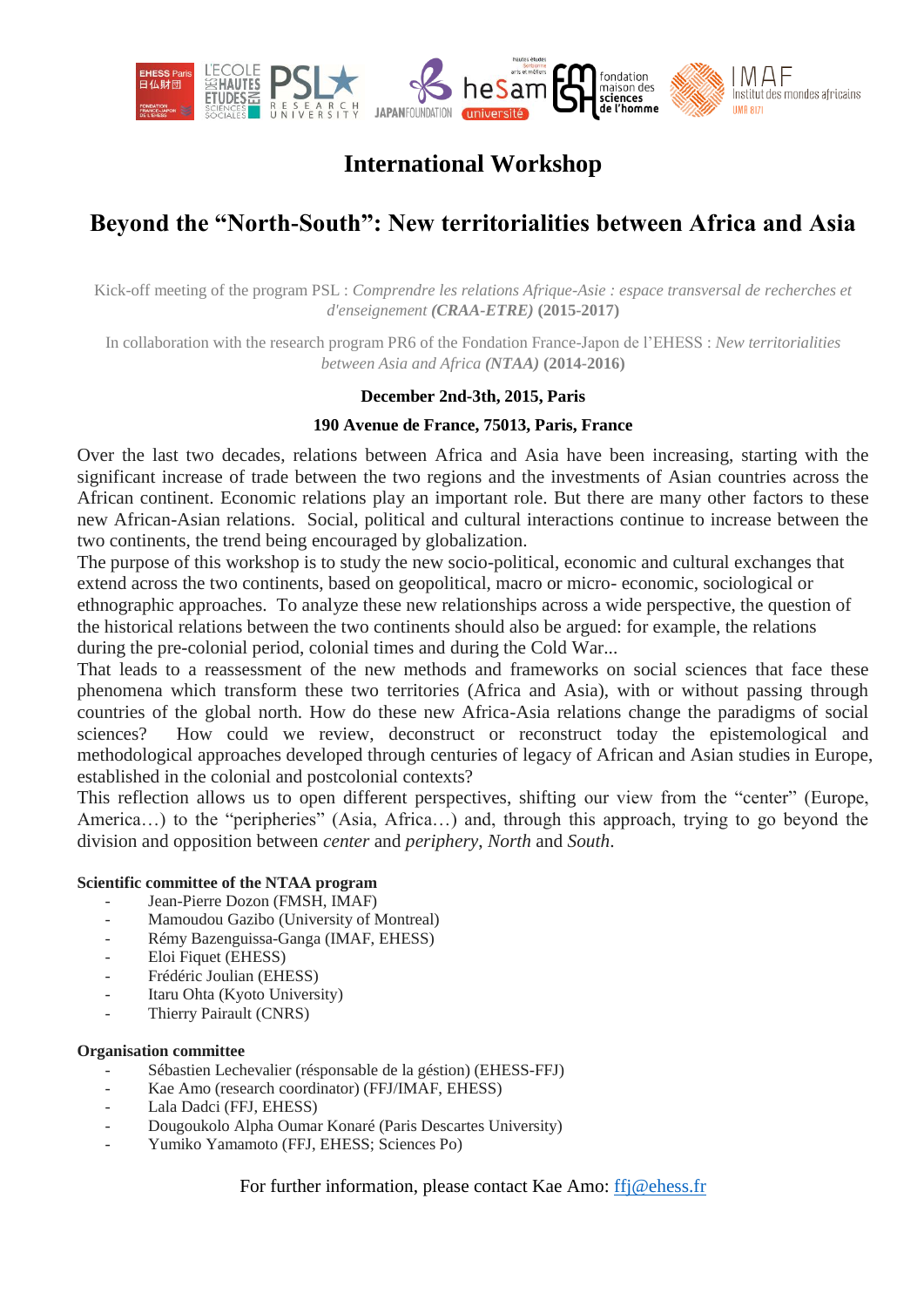

# **International Workshop**

# **Beyond the "North-South": New territorialities between Africa and Asia**

Kick-off meeting of the program PSL : *Comprendre les relations Afrique-Asie : espace transversal de recherches et d'enseignement (CRAA-ETRE)* **(2015-2017)**

In collaboration with the research program PR6 of the Fondation France-Japon de l'EHESS : *New territorialities between Asia and Africa (NTAA)* **(2014-2016)**

### **December 2nd-3th, 2015, Paris**

### **190 Avenue de France, 75013, Paris, France**

Over the last two decades, relations between Africa and Asia have been increasing, starting with the significant increase of trade between the two regions and the investments of Asian countries across the African continent. Economic relations play an important role. But there are many other factors to these new African-Asian relations. Social, political and cultural interactions continue to increase between the two continents, the trend being encouraged by globalization.

The purpose of this workshop is to study the new socio-political, economic and cultural exchanges that extend across the two continents, based on geopolitical, macro or micro- economic, sociological or ethnographic approaches. To analyze these new relationships across a wide perspective, the question of the historical relations between the two continents should also be argued: for example, the relations during the pre-colonial period, colonial times and during the Cold War...

That leads to a reassessment of the new methods and frameworks on social sciences that face these phenomena which transform these two territories (Africa and Asia), with or without passing through countries of the global north. How do these new Africa-Asia relations change the paradigms of social sciences? How could we review, deconstruct or reconstruct today the epistemological and methodological approaches developed through centuries of legacy of African and Asian studies in Europe, established in the colonial and postcolonial contexts?

This reflection allows us to open different perspectives, shifting our view from the "center" (Europe, America…) to the "peripheries" (Asia, Africa…) and, through this approach, trying to go beyond the division and opposition between *center* and *periphery*, *North* and *South*.

#### **Scientific committee of the NTAA program**

- Jean-Pierre Dozon (FMSH, IMAF)
- Mamoudou Gazibo (University of Montreal)
- Rémy Bazenguissa-Ganga (IMAF, EHESS)
- Eloi Fiquet (EHESS)
- Frédéric Joulian (EHESS)
- Itaru Ohta (Kyoto University)
- Thierry Pairault (CNRS)

#### **Organisation committee**

- Sébastien Lechevalier (résponsable de la géstion) (EHESS-FFJ)
- Kae Amo (research coordinator) (FFJ/IMAF, EHESS)
- Lala Dadci (FFJ, EHESS)
- Dougoukolo Alpha Oumar Konaré (Paris Descartes University)
- Yumiko Yamamoto (FFJ, EHESS; Sciences Po)

For further information, please contact Kae Amo: [ffj@ehess.fr](mailto:ffj@ehess.fr)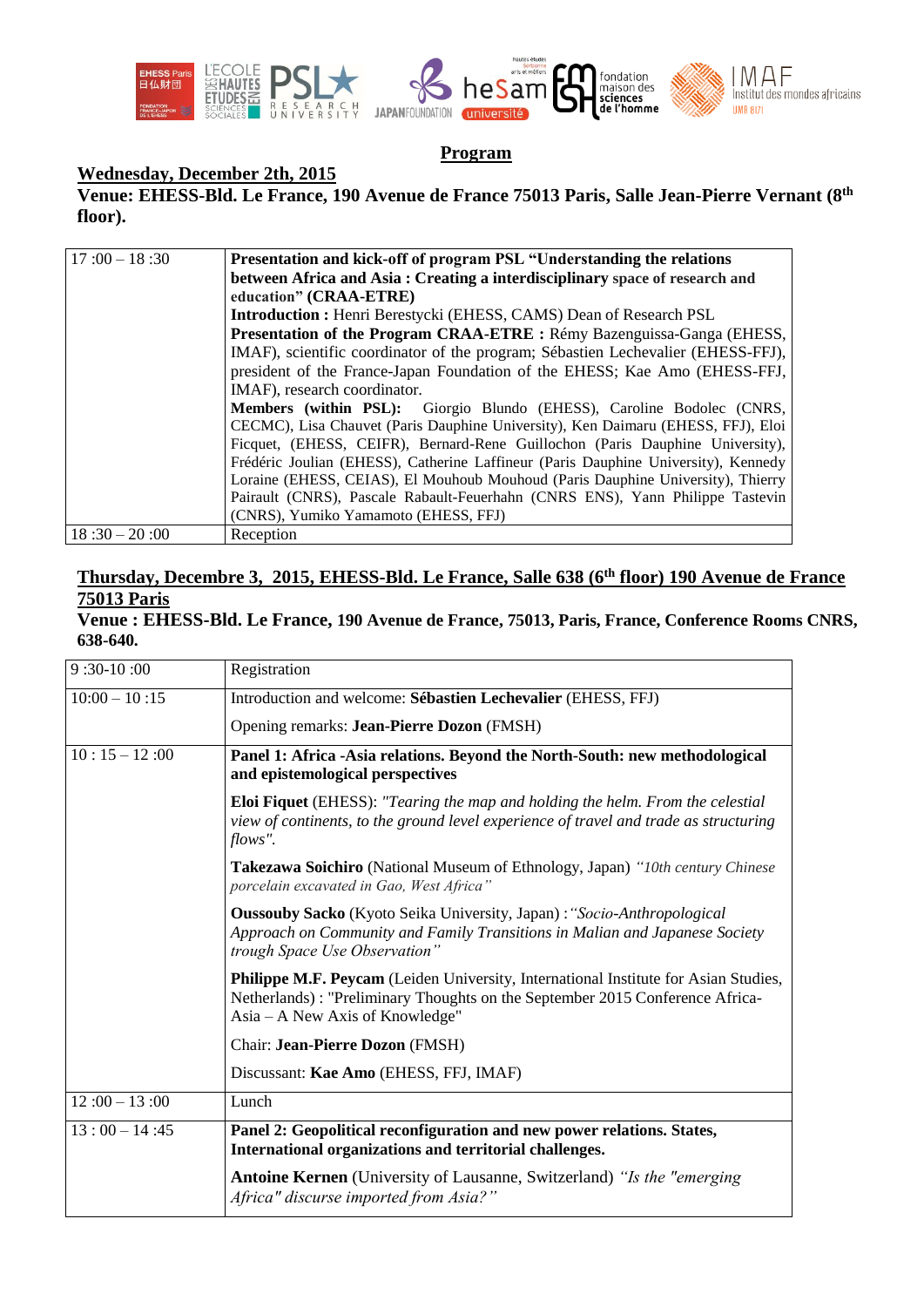

# **Program**

## **Wednesday, December 2th, 2015**

**Venue: EHESS-Bld. Le France, 190 Avenue de France 75013 Paris, Salle Jean-Pierre Vernant (8th floor).**

| $17:00 - 18:30$ | Presentation and kick-off of program PSL "Understanding the relations              |
|-----------------|------------------------------------------------------------------------------------|
|                 | between Africa and Asia: Creating a interdisciplinary space of research and        |
|                 | education" (CRAA-ETRE)                                                             |
|                 | <b>Introduction:</b> Henri Berestycki (EHESS, CAMS) Dean of Research PSL           |
|                 | Presentation of the Program CRAA-ETRE : Rémy Bazenguissa-Ganga (EHESS,             |
|                 | IMAF), scientific coordinator of the program; Sébastien Lechevalier (EHESS-FFJ),   |
|                 | president of the France-Japan Foundation of the EHESS; Kae Amo (EHESS-FFJ,         |
|                 | IMAF), research coordinator.                                                       |
|                 | Members (within PSL): Giorgio Blundo (EHESS), Caroline Bodolec (CNRS,              |
|                 | CECMC), Lisa Chauvet (Paris Dauphine University), Ken Daimaru (EHESS, FFJ), Eloi   |
|                 | Ficquet, (EHESS, CEIFR), Bernard-Rene Guillochon (Paris Dauphine University),      |
|                 | Frédéric Joulian (EHESS), Catherine Laffineur (Paris Dauphine University), Kennedy |
|                 | Loraine (EHESS, CEIAS), El Mouhoub Mouhoud (Paris Dauphine University), Thierry    |
|                 | Pairault (CNRS), Pascale Rabault-Feuerhahn (CNRS ENS), Yann Philippe Tastevin      |
|                 | (CNRS), Yumiko Yamamoto (EHESS, FFJ)                                               |
| $18:30 - 20:00$ | Reception                                                                          |

# **Thursday, Decembre 3, 2015, EHESS-Bld. Le France, Salle 638 (6th floor) 190 Avenue de France 75013 Paris**

#### **Venue : EHESS-Bld. Le France, 190 Avenue de France, 75013, Paris, France, Conference Rooms CNRS, 638-640.**

| $9:30-10:00$    | Registration                                                                                                                                                                                                  |
|-----------------|---------------------------------------------------------------------------------------------------------------------------------------------------------------------------------------------------------------|
| $10:00 - 10:15$ | Introduction and welcome: Sébastien Lechevalier (EHESS, FFJ)                                                                                                                                                  |
|                 | Opening remarks: Jean-Pierre Dozon (FMSH)                                                                                                                                                                     |
| $10:15 - 12:00$ | Panel 1: Africa - Asia relations. Beyond the North-South: new methodological<br>and epistemological perspectives                                                                                              |
|                 | <b>Eloi Fiquet</b> (EHESS): "Tearing the map and holding the helm. From the celestial<br>view of continents, to the ground level experience of travel and trade as structuring<br>flows".                     |
|                 | <b>Takezawa Soichiro</b> (National Museum of Ethnology, Japan) "10th century Chinese"<br>porcelain excavated in Gao, West Africa"                                                                             |
|                 | <b>Oussouby Sacko</b> (Kyoto Seika University, Japan): "Socio-Anthropological<br>Approach on Community and Family Transitions in Malian and Japanese Society<br>trough Space Use Observation"                 |
|                 | <b>Philippe M.F. Peycam</b> (Leiden University, International Institute for Asian Studies,<br>Netherlands): "Preliminary Thoughts on the September 2015 Conference Africa-<br>Asia – A New Axis of Knowledge" |
|                 | Chair: Jean-Pierre Dozon (FMSH)                                                                                                                                                                               |
|                 | Discussant: Kae Amo (EHESS, FFJ, IMAF)                                                                                                                                                                        |
| $12:00 - 13:00$ | Lunch                                                                                                                                                                                                         |
| $13:00 - 14:45$ | Panel 2: Geopolitical reconfiguration and new power relations. States,<br>International organizations and territorial challenges.                                                                             |
|                 | Antoine Kernen (University of Lausanne, Switzerland) "Is the "emerging<br>Africa" discurse imported from Asia?"                                                                                               |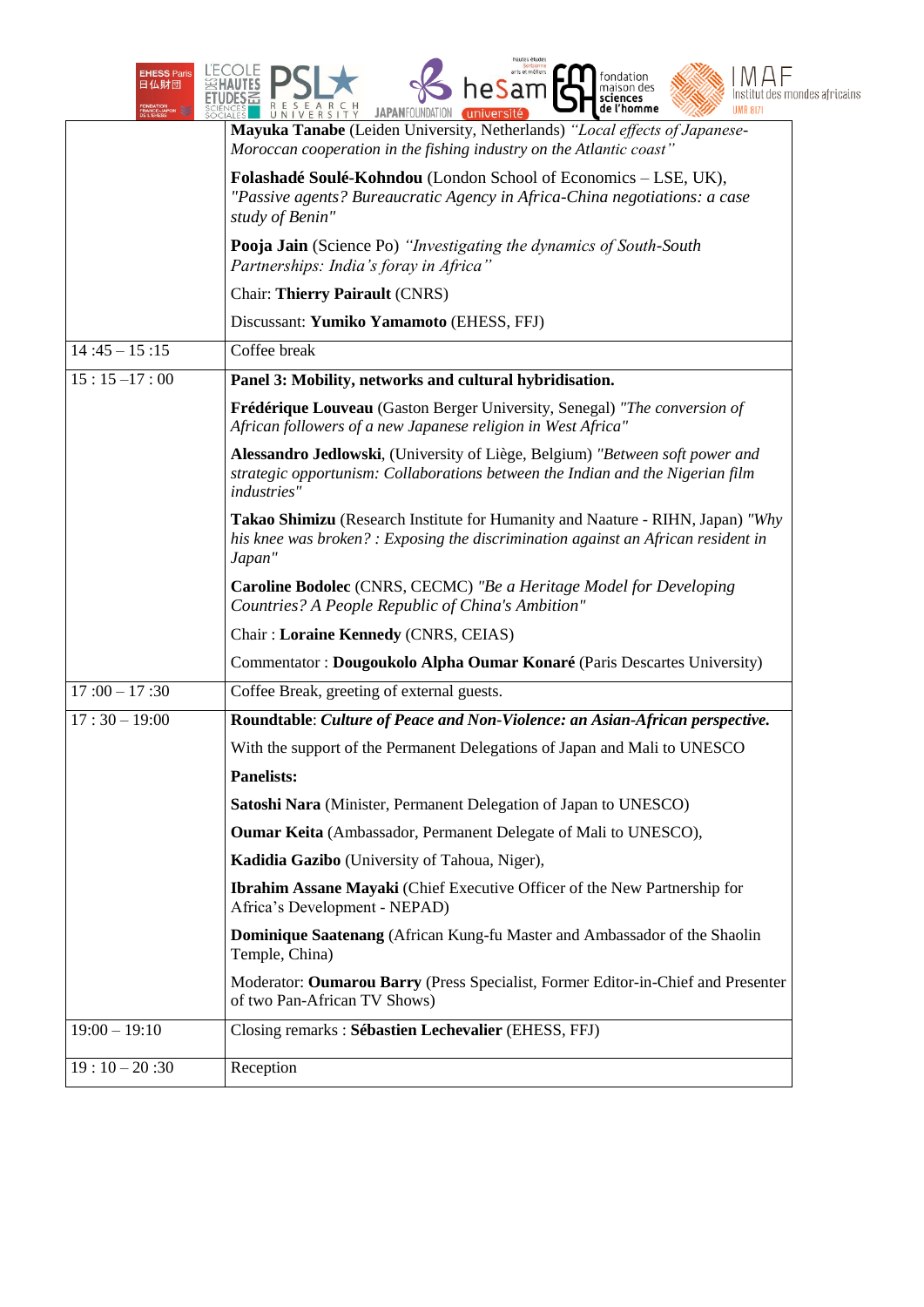| <b>EHESS Paris</b><br>日仏財団 | hautes étude:<br>arts et métiers<br>ondation <sup>:</sup><br>maison des<br>າeSam<br>itut des mondes africains<br>de l'homme<br>UMR 8171<br><b>JAPANFOUNDAT</b><br><b>VERSITY</b> |
|----------------------------|----------------------------------------------------------------------------------------------------------------------------------------------------------------------------------|
|                            | Mayuka Tanabe (Leiden University, Netherlands) "Local effects of Japanese-<br>Moroccan cooperation in the fishing industry on the Atlantic coast"                                |
|                            | Folashadé Soulé-Kohndou (London School of Economics - LSE, UK),<br>"Passive agents? Bureaucratic Agency in Africa-China negotiations: a case<br>study of Benin"                  |
|                            | Pooja Jain (Science Po) "Investigating the dynamics of South-South<br>Partnerships: India's foray in Africa"                                                                     |
|                            | <b>Chair: Thierry Pairault (CNRS)</b>                                                                                                                                            |
|                            | Discussant: Yumiko Yamamoto (EHESS, FFJ)                                                                                                                                         |
| $14:45 - 15:15$            | Coffee break                                                                                                                                                                     |
| $15:15-17:00$              | Panel 3: Mobility, networks and cultural hybridisation.                                                                                                                          |
|                            | Frédérique Louveau (Gaston Berger University, Senegal) "The conversion of<br>African followers of a new Japanese religion in West Africa"                                        |
|                            | Alessandro Jedlowski, (University of Liège, Belgium) "Between soft power and<br>strategic opportunism: Collaborations between the Indian and the Nigerian film<br>industries"    |
|                            | Takao Shimizu (Research Institute for Humanity and Naature - RIHN, Japan) "Why<br>his knee was broken? : Exposing the discrimination against an African resident in<br>Japan"    |
|                            | <b>Caroline Bodolec</b> (CNRS, CECMC) "Be a Heritage Model for Developing<br>Countries? A People Republic of China's Ambition"                                                   |
|                            | Chair: Loraine Kennedy (CNRS, CEIAS)                                                                                                                                             |
|                            | Commentator : Dougoukolo Alpha Oumar Konaré (Paris Descartes University)                                                                                                         |
| $17:00 - 17:30$            | Coffee Break, greeting of external guests.                                                                                                                                       |
| $17:30 - 19:00$            | Roundtable: Culture of Peace and Non-Violence: an Asian-African perspective.                                                                                                     |
|                            | With the support of the Permanent Delegations of Japan and Mali to UNESCO                                                                                                        |
|                            | <b>Panelists:</b>                                                                                                                                                                |
|                            | Satoshi Nara (Minister, Permanent Delegation of Japan to UNESCO)                                                                                                                 |
|                            | <b>Oumar Keita</b> (Ambassador, Permanent Delegate of Mali to UNESCO),                                                                                                           |
|                            | Kadidia Gazibo (University of Tahoua, Niger),                                                                                                                                    |
|                            | <b>Ibrahim Assane Mayaki</b> (Chief Executive Officer of the New Partnership for<br>Africa's Development - NEPAD)                                                                |
|                            | Dominique Saatenang (African Kung-fu Master and Ambassador of the Shaolin<br>Temple, China)                                                                                      |
|                            | Moderator: Oumarou Barry (Press Specialist, Former Editor-in-Chief and Presenter<br>of two Pan-African TV Shows)                                                                 |
| $19:00 - 19:10$            | Closing remarks: Sébastien Lechevalier (EHESS, FFJ)                                                                                                                              |
| $19:10-20:30$              | Reception                                                                                                                                                                        |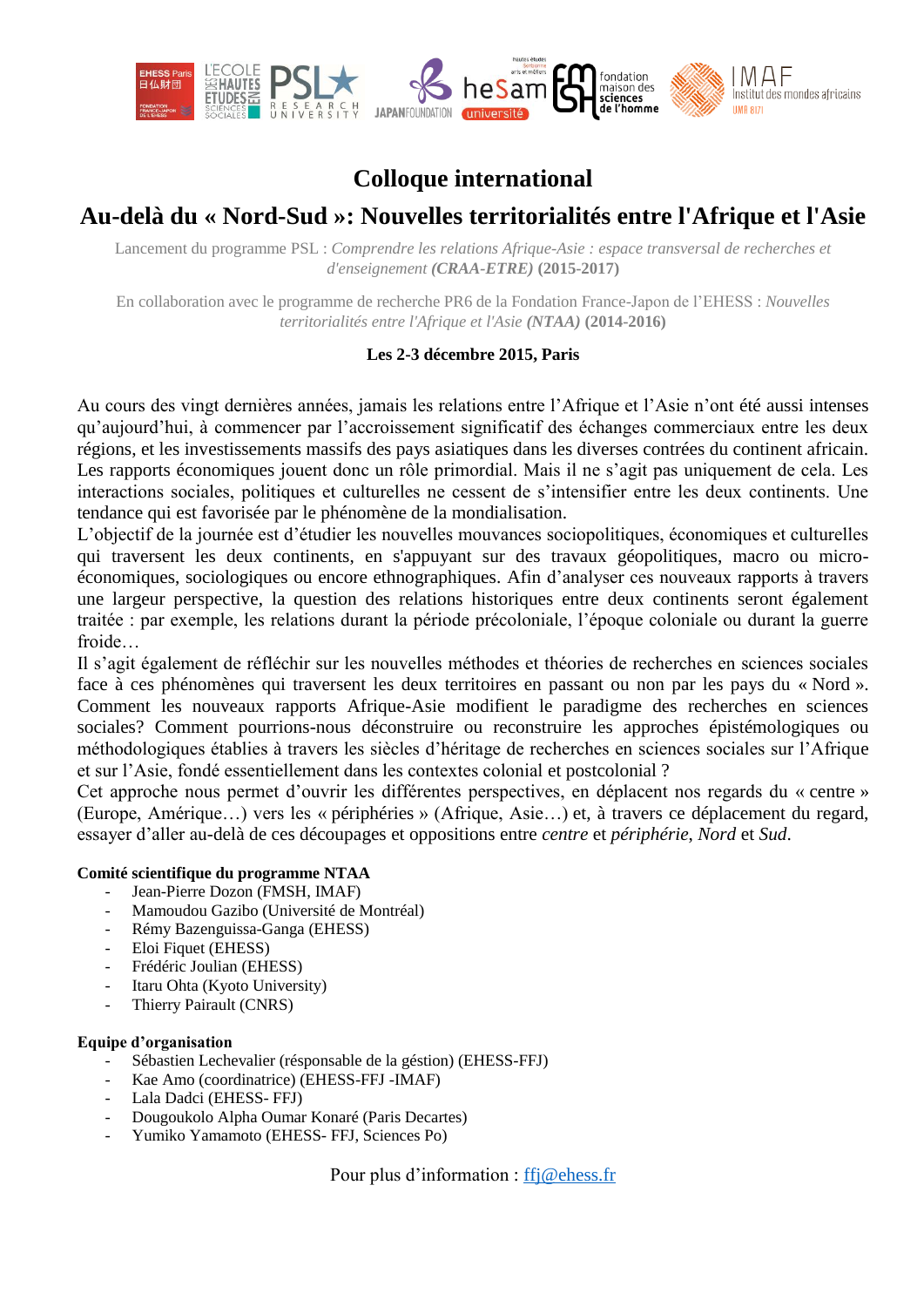

# **Colloque international**

# **Au-delà du « Nord-Sud »: Nouvelles territorialités entre l'Afrique et l'Asie**

Lancement du programme PSL : *Comprendre les relations Afrique-Asie : espace transversal de recherches et d'enseignement (CRAA-ETRE)* **(2015-2017)**

En collaboration avec le programme de recherche PR6 de la Fondation France-Japon de l'EHESS : *Nouvelles territorialités entre l'Afrique et l'Asie (NTAA)* **(2014-2016)**

### **Les 2-3 décembre 2015, Paris**

Au cours des vingt dernières années, jamais les relations entre l'Afrique et l'Asie n'ont été aussi intenses qu'aujourd'hui, à commencer par l'accroissement significatif des échanges commerciaux entre les deux régions, et les investissements massifs des pays asiatiques dans les diverses contrées du continent africain. Les rapports économiques jouent donc un rôle primordial. Mais il ne s'agit pas uniquement de cela. Les interactions sociales, politiques et culturelles ne cessent de s'intensifier entre les deux continents. Une tendance qui est favorisée par le phénomène de la mondialisation.

L'objectif de la journée est d'étudier les nouvelles mouvances sociopolitiques, économiques et culturelles qui traversent les deux continents, en s'appuyant sur des travaux géopolitiques, macro ou microéconomiques, sociologiques ou encore ethnographiques. Afin d'analyser ces nouveaux rapports à travers une largeur perspective, la question des relations historiques entre deux continents seront également traitée : par exemple, les relations durant la période précoloniale, l'époque coloniale ou durant la guerre froide…

Il s'agit également de réfléchir sur les nouvelles méthodes et théories de recherches en sciences sociales face à ces phénomènes qui traversent les deux territoires en passant ou non par les pays du « Nord ». Comment les nouveaux rapports Afrique-Asie modifient le paradigme des recherches en sciences sociales? Comment pourrions-nous déconstruire ou reconstruire les approches épistémologiques ou méthodologiques établies à travers les siècles d'héritage de recherches en sciences sociales sur l'Afrique et sur l'Asie, fondé essentiellement dans les contextes colonial et postcolonial ?

Cet approche nous permet d'ouvrir les différentes perspectives, en déplacent nos regards du « centre » (Europe, Amérique…) vers les « périphéries » (Afrique, Asie…) et, à travers ce déplacement du regard, essayer d'aller au-delà de ces découpages et oppositions entre *centre* et *périphérie*, *Nord* et *Sud*.

### **Comité scientifique du programme NTAA**

- Jean-Pierre Dozon (FMSH, IMAF)
- Mamoudou Gazibo (Université de Montréal)
- Rémy Bazenguissa-Ganga (EHESS)
- Eloi Fiquet (EHESS)
- Frédéric Joulian (EHESS)
- Itaru Ohta (Kyoto University)
- Thierry Pairault (CNRS)

#### **Equipe d'organisation**

- Sébastien Lechevalier (résponsable de la géstion) (EHESS-FFJ)
- Kae Amo (coordinatrice) (EHESS-FFJ -IMAF)
- Lala Dadci (EHESS- FFJ)
- Dougoukolo Alpha Oumar Konaré (Paris Decartes)
- Yumiko Yamamoto (EHESS- FFJ, Sciences Po)

Pour plus d'information : [ffj@ehess.fr](mailto:ffj@ehess.fr)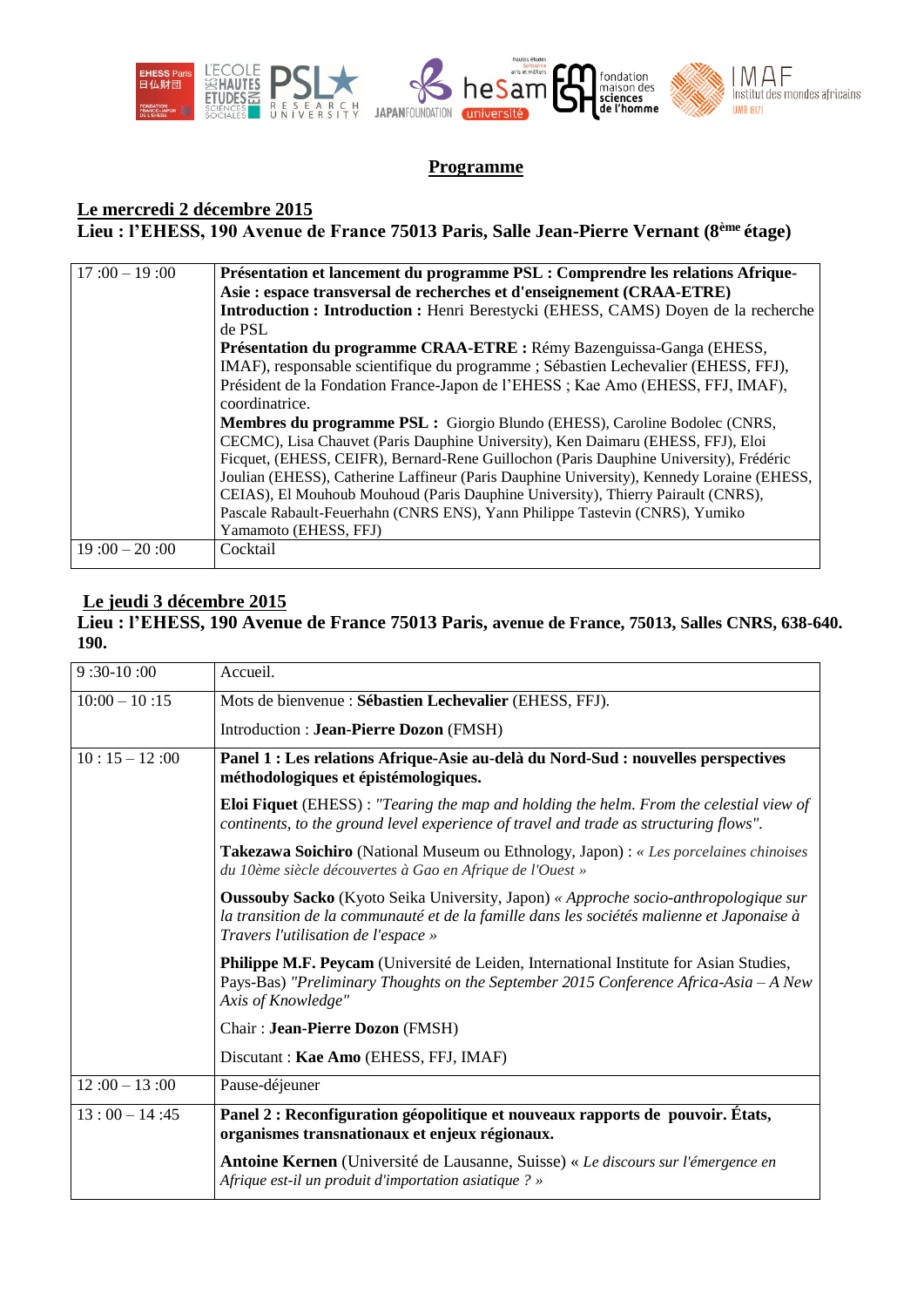

### **Programme**

# **Le mercredi 2 décembre 2015**

**Lieu : l'EHESS, 190 Avenue de France 75013 Paris, Salle Jean-Pierre Vernant (8ème étage)**

| $17:00 - 19:00$ | Présentation et lancement du programme PSL : Comprendre les relations Afrique-            |
|-----------------|-------------------------------------------------------------------------------------------|
|                 | Asie : espace transversal de recherches et d'enseignement (CRAA-ETRE)                     |
|                 | <b>Introduction : Introduction : Henri Berestycki (EHESS, CAMS) Doyen de la recherche</b> |
|                 | de PSL                                                                                    |
|                 | Présentation du programme CRAA-ETRE : Rémy Bazenguissa-Ganga (EHESS,                      |
|                 | IMAF), responsable scientifique du programme ; Sébastien Lechevalier (EHESS, FFJ),        |
|                 | Président de la Fondation France-Japon de l'EHESS; Kae Amo (EHESS, FFJ, IMAF),            |
|                 | coordinatrice.                                                                            |
|                 | Membres du programme PSL : Giorgio Blundo (EHESS), Caroline Bodolec (CNRS,                |
|                 | CECMC), Lisa Chauvet (Paris Dauphine University), Ken Daimaru (EHESS, FFJ), Eloi          |
|                 | Ficquet, (EHESS, CEIFR), Bernard-Rene Guillochon (Paris Dauphine University), Frédéric    |
|                 | Joulian (EHESS), Catherine Laffineur (Paris Dauphine University), Kennedy Loraine (EHESS, |
|                 | CEIAS), El Mouhoub Mouhoud (Paris Dauphine University), Thierry Pairault (CNRS),          |
|                 | Pascale Rabault-Feuerhahn (CNRS ENS), Yann Philippe Tastevin (CNRS), Yumiko               |
|                 | Yamamoto (EHESS, FFJ)                                                                     |
| $19:00 - 20:00$ | Cocktail                                                                                  |
|                 |                                                                                           |

### **Le jeudi 3 décembre 2015**

### **Lieu : l'EHESS, 190 Avenue de France 75013 Paris, avenue de France, 75013, Salles CNRS, 638-640. 190.**

| $9:30-10:00$    | Accueil.                                                                                                                                                                                                                       |
|-----------------|--------------------------------------------------------------------------------------------------------------------------------------------------------------------------------------------------------------------------------|
| $10:00 - 10:15$ | Mots de bienvenue : Sébastien Lechevalier (EHESS, FFJ).                                                                                                                                                                        |
|                 | Introduction : Jean-Pierre Dozon (FMSH)                                                                                                                                                                                        |
| $10:15 - 12:00$ | Panel 1 : Les relations Afrique-Asie au-delà du Nord-Sud : nouvelles perspectives<br>méthodologiques et épistémologiques.                                                                                                      |
|                 | <b>Eloi Fiquet</b> (EHESS): "Tearing the map and holding the helm. From the celestial view of<br>continents, to the ground level experience of travel and trade as structuring flows".                                         |
|                 | Takezawa Soichiro (National Museum ou Ethnology, Japon) : « Les porcelaines chinoises<br>du 10ème siècle découvertes à Gao en Afrique de l'Ouest »                                                                             |
|                 | <b>Oussouby Sacko</b> (Kyoto Seika University, Japon) « Approche socio-anthropologique sur<br>la transition de la communauté et de la famille dans les sociétés malienne et Japonaise à<br>Travers l'utilisation de l'espace » |
|                 | Philippe M.F. Peycam (Université de Leiden, International Institute for Asian Studies,<br>Pays-Bas) "Preliminary Thoughts on the September 2015 Conference Africa-Asia - A New<br>Axis of Knowledge"                           |
|                 | Chair: Jean-Pierre Dozon (FMSH)                                                                                                                                                                                                |
|                 | Discutant: Kae Amo (EHESS, FFJ, IMAF)                                                                                                                                                                                          |
| $12:00 - 13:00$ | Pause-déjeuner                                                                                                                                                                                                                 |
| $13:00 - 14:45$ | Panel 2 : Reconfiguration géopolitique et nouveaux rapports de pouvoir. États,<br>organismes transnationaux et enjeux régionaux.                                                                                               |
|                 | <b>Antoine Kernen</b> (Université de Lausanne, Suisse) « Le discours sur l'émergence en<br>Afrique est-il un produit d'importation asiatique ? »                                                                               |